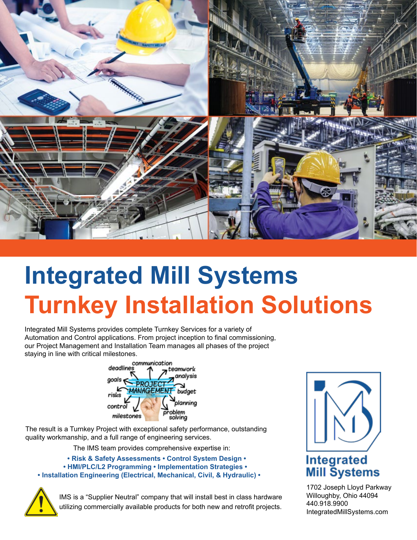

## **Integrated Mill Systems Turnkey Installation Solutions**

Integrated Mill Systems provides complete Turnkey Services for a variety of Automation and Control applications. From project inception to final commissioning, our Project Management and Installation Team manages all phases of the project staying in line with critical milestones.



The result is a Turnkey Project with exceptional safety performance, outstanding quality workmanship, and a full range of engineering services.

The IMS team provides comprehensive expertise in:

**• Risk & Safety Assessments • Control System Design • • HMI/PLC/L2 Programming • Implementation Strategies • • Installation Engineering (Electrical, Mechanical, Civil, & Hydraulic) •** 



IMS is a "Supplier Neutral" company that will install best in class hardware utilizing commercially available products for both new and retrofit projects.



1702 Joseph Lloyd Parkway Willoughby, Ohio 44094 440.918.9900 IntegratedMillSystems.com